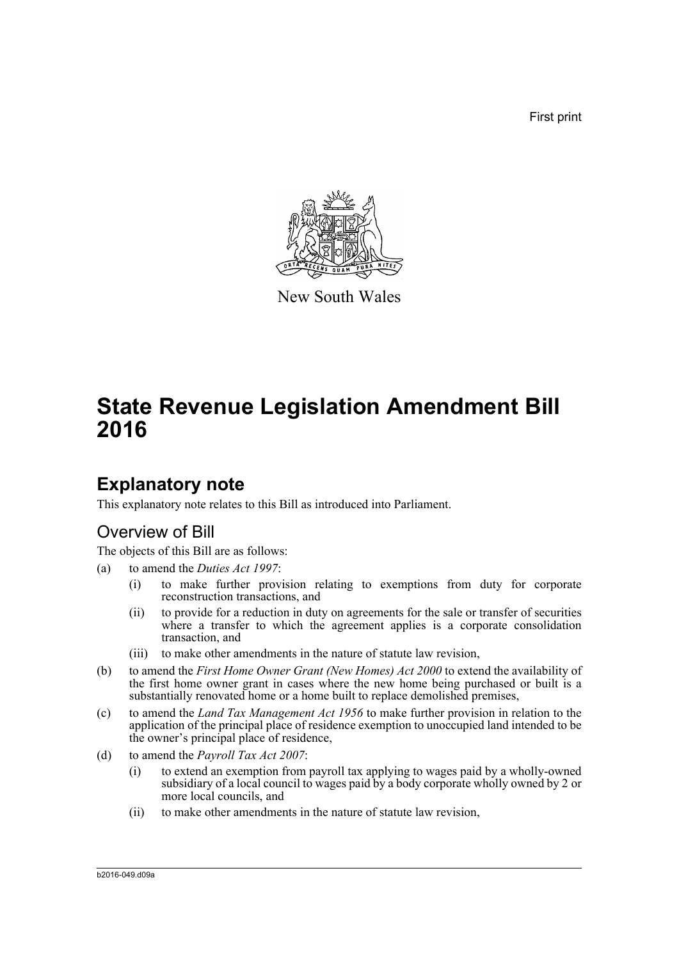First print



New South Wales

# **State Revenue Legislation Amendment Bill 2016**

# **Explanatory note**

This explanatory note relates to this Bill as introduced into Parliament.

# Overview of Bill

The objects of this Bill are as follows:

- (a) to amend the *Duties Act 1997*:
	- (i) to make further provision relating to exemptions from duty for corporate reconstruction transactions, and
	- (ii) to provide for a reduction in duty on agreements for the sale or transfer of securities where a transfer to which the agreement applies is a corporate consolidation transaction, and
	- (iii) to make other amendments in the nature of statute law revision,
- (b) to amend the *First Home Owner Grant (New Homes) Act 2000* to extend the availability of the first home owner grant in cases where the new home being purchased or built is a substantially renovated home or a home built to replace demolished premises,
- (c) to amend the *Land Tax Management Act 1956* to make further provision in relation to the application of the principal place of residence exemption to unoccupied land intended to be the owner's principal place of residence,
- (d) to amend the *Payroll Tax Act 2007*:
	- (i) to extend an exemption from payroll tax applying to wages paid by a wholly-owned subsidiary of a local council to wages paid by a body corporate wholly owned by 2 or more local councils, and
	- (ii) to make other amendments in the nature of statute law revision,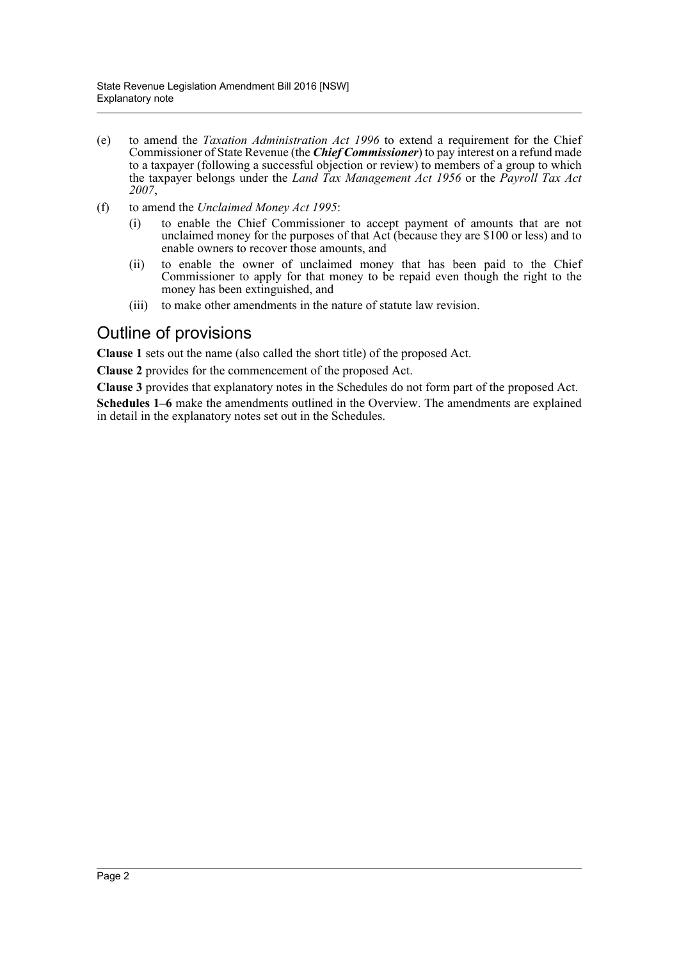- (e) to amend the *Taxation Administration Act 1996* to extend a requirement for the Chief Commissioner of State Revenue (the *Chief Commissioner*) to pay interest on a refund made to a taxpayer (following a successful objection or review) to members of a group to which the taxpayer belongs under the *Land Tax Management Act 1956* or the *Payroll Tax Act 2007*,
- (f) to amend the *Unclaimed Money Act 1995*:
	- (i) to enable the Chief Commissioner to accept payment of amounts that are not unclaimed money for the purposes of that Act (because they are \$100 or less) and to enable owners to recover those amounts, and
	- (ii) to enable the owner of unclaimed money that has been paid to the Chief Commissioner to apply for that money to be repaid even though the right to the money has been extinguished, and
	- (iii) to make other amendments in the nature of statute law revision.

# Outline of provisions

**Clause 1** sets out the name (also called the short title) of the proposed Act.

**Clause 2** provides for the commencement of the proposed Act.

**Clause 3** provides that explanatory notes in the Schedules do not form part of the proposed Act.

**Schedules 1–6** make the amendments outlined in the Overview. The amendments are explained in detail in the explanatory notes set out in the Schedules.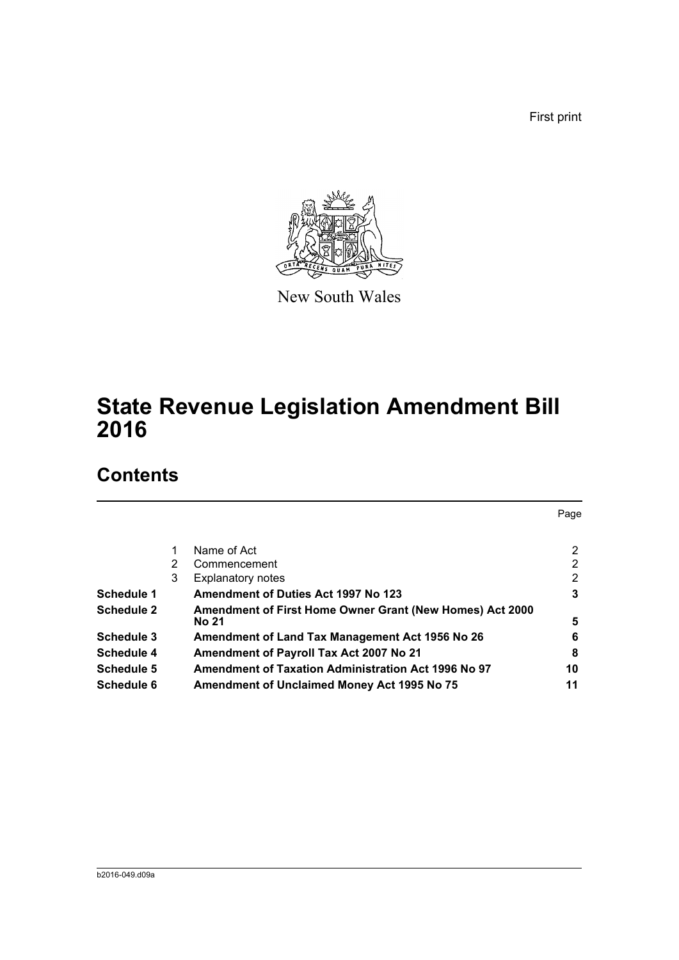First print



New South Wales

# **State Revenue Legislation Amendment Bill 2016**

# **Contents**

|                   |   |                                                          | Page                  |
|-------------------|---|----------------------------------------------------------|-----------------------|
|                   |   | Name of Act                                              | 2                     |
|                   | 2 | Commencement                                             | 2                     |
|                   | 3 | <b>Explanatory notes</b>                                 | $\mathbf{2}^{\prime}$ |
| Schedule 1        |   | <b>Amendment of Duties Act 1997 No 123</b>               | 3                     |
| <b>Schedule 2</b> |   | Amendment of First Home Owner Grant (New Homes) Act 2000 |                       |
|                   |   | No 21                                                    | 5                     |
| Schedule 3        |   | Amendment of Land Tax Management Act 1956 No 26          | 6                     |
| Schedule 4        |   | Amendment of Payroll Tax Act 2007 No 21                  | 8                     |
| Schedule 5        |   | Amendment of Taxation Administration Act 1996 No 97      | 10                    |
| <b>Schedule 6</b> |   | Amendment of Unclaimed Money Act 1995 No 75              | 11                    |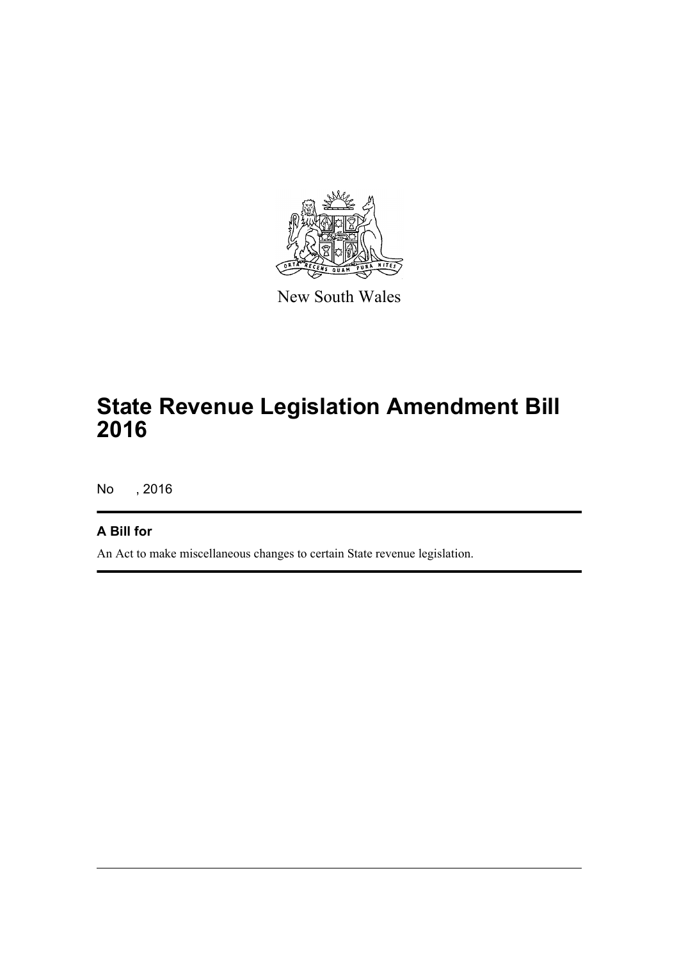

New South Wales

# **State Revenue Legislation Amendment Bill 2016**

No , 2016

## **A Bill for**

An Act to make miscellaneous changes to certain State revenue legislation.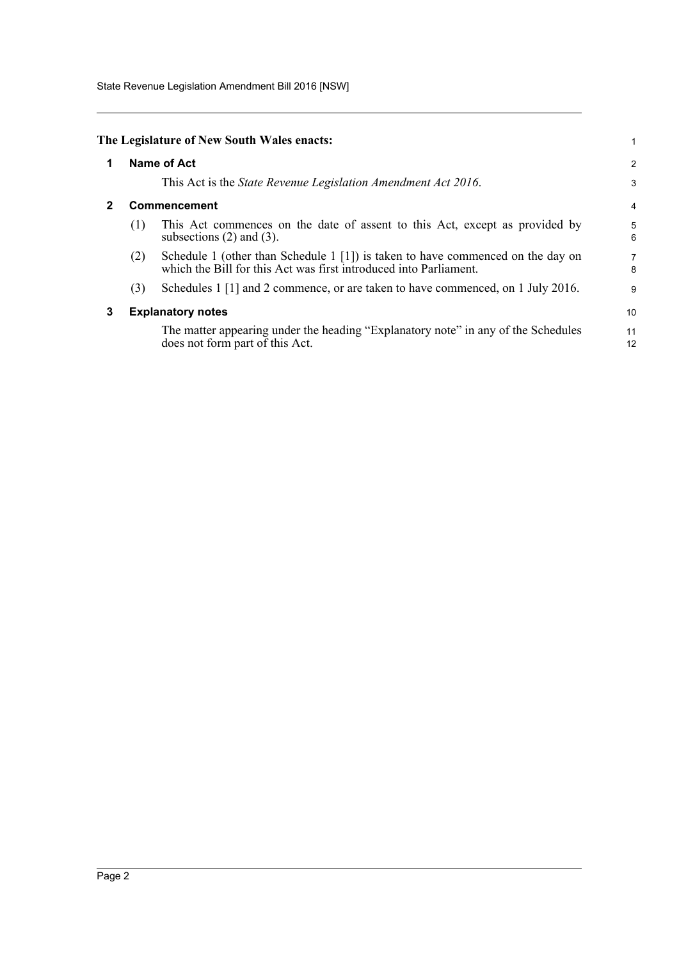State Revenue Legislation Amendment Bill 2016 [NSW]

<span id="page-4-2"></span><span id="page-4-1"></span><span id="page-4-0"></span>

| Name of Act                                                                                                                                                    |                                            |  |
|----------------------------------------------------------------------------------------------------------------------------------------------------------------|--------------------------------------------|--|
| This Act is the <i>State Revenue Legislation Amendment Act 2016</i> .                                                                                          | 3                                          |  |
| Commencement                                                                                                                                                   | 4                                          |  |
| This Act commences on the date of assent to this Act, except as provided by<br>subsections $(2)$ and $(3)$ .                                                   | 5<br>6                                     |  |
| Schedule 1 (other than Schedule 1 $[1]$ ) is taken to have commenced on the day on<br>(2)<br>which the Bill for this Act was first introduced into Parliament. | 7<br>8                                     |  |
| (3)<br>Schedules 1 [1] and 2 commence, or are taken to have commenced, on 1 July 2016.                                                                         | 9                                          |  |
| <b>Explanatory notes</b>                                                                                                                                       |                                            |  |
| The matter appearing under the heading "Explanatory note" in any of the Schedules<br>does not form part of this Act.                                           | 11<br>12                                   |  |
|                                                                                                                                                                | The Legislature of New South Wales enacts: |  |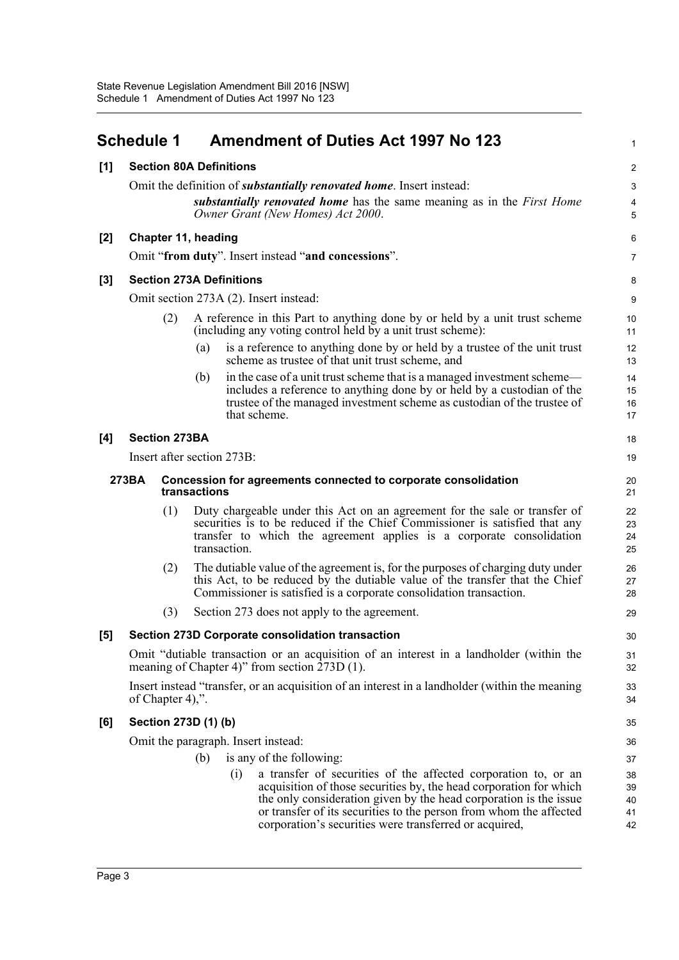<span id="page-5-0"></span>

|       | <b>Schedule 1</b>                                                                       |                                     |     | <b>Amendment of Duties Act 1997 No 123</b>                                                                                                                                                                                                                                                                                                       | 1                          |
|-------|-----------------------------------------------------------------------------------------|-------------------------------------|-----|--------------------------------------------------------------------------------------------------------------------------------------------------------------------------------------------------------------------------------------------------------------------------------------------------------------------------------------------------|----------------------------|
| [1]   |                                                                                         |                                     |     | <b>Section 80A Definitions</b>                                                                                                                                                                                                                                                                                                                   | 2                          |
|       |                                                                                         |                                     |     | Omit the definition of <i>substantially renovated home</i> . Insert instead:                                                                                                                                                                                                                                                                     | 3                          |
|       |                                                                                         |                                     |     | substantially renovated home has the same meaning as in the First Home<br>Owner Grant (New Homes) Act 2000.                                                                                                                                                                                                                                      | 4<br>5                     |
| $[2]$ |                                                                                         | <b>Chapter 11, heading</b>          |     |                                                                                                                                                                                                                                                                                                                                                  | 6                          |
|       |                                                                                         |                                     |     | Omit "from duty". Insert instead "and concessions".                                                                                                                                                                                                                                                                                              | 7                          |
| $[3]$ |                                                                                         |                                     |     | <b>Section 273A Definitions</b>                                                                                                                                                                                                                                                                                                                  | 8                          |
|       |                                                                                         |                                     |     | Omit section 273A (2). Insert instead:                                                                                                                                                                                                                                                                                                           | 9                          |
|       |                                                                                         | (2)                                 |     | A reference in this Part to anything done by or held by a unit trust scheme<br>(including any voting control held by a unit trust scheme):                                                                                                                                                                                                       | 10<br>11                   |
|       |                                                                                         |                                     | (a) | is a reference to anything done by or held by a trustee of the unit trust<br>scheme as trustee of that unit trust scheme, and                                                                                                                                                                                                                    | 12<br>13                   |
|       |                                                                                         |                                     | (b) | in the case of a unit trust scheme that is a managed investment scheme—<br>includes a reference to anything done by or held by a custodian of the<br>trustee of the managed investment scheme as custodian of the trustee of<br>that scheme.                                                                                                     | 14<br>15<br>16<br>17       |
| [4]   |                                                                                         | <b>Section 273BA</b>                |     |                                                                                                                                                                                                                                                                                                                                                  | 18                         |
|       |                                                                                         |                                     |     | Insert after section 273B:                                                                                                                                                                                                                                                                                                                       | 19                         |
|       | 273BA<br>Concession for agreements connected to corporate consolidation<br>transactions |                                     |     | 20<br>21                                                                                                                                                                                                                                                                                                                                         |                            |
|       |                                                                                         | (1)                                 |     | Duty chargeable under this Act on an agreement for the sale or transfer of<br>securities is to be reduced if the Chief Commissioner is satisfied that any<br>transfer to which the agreement applies is a corporate consolidation<br>transaction.                                                                                                | 22<br>23<br>24<br>25       |
|       |                                                                                         | (2)                                 |     | The dutiable value of the agreement is, for the purposes of charging duty under<br>this Act, to be reduced by the dutiable value of the transfer that the Chief<br>Commissioner is satisfied is a corporate consolidation transaction.                                                                                                           | 26<br>27<br>28             |
|       |                                                                                         | (3)                                 |     | Section 273 does not apply to the agreement.                                                                                                                                                                                                                                                                                                     | 29                         |
| [5]   |                                                                                         |                                     |     | Section 273D Corporate consolidation transaction                                                                                                                                                                                                                                                                                                 | 30                         |
|       |                                                                                         |                                     |     | Omit "dutiable transaction or an acquisition of an interest in a landholder (within the<br>meaning of Chapter 4)" from section 273D (1).                                                                                                                                                                                                         | 31<br>32                   |
|       |                                                                                         | of Chapter 4),".                    |     | Insert instead "transfer, or an acquisition of an interest in a landholder (within the meaning                                                                                                                                                                                                                                                   | 33<br>34                   |
| [6]   |                                                                                         | Section 273D (1) (b)                |     |                                                                                                                                                                                                                                                                                                                                                  | 35                         |
|       |                                                                                         | Omit the paragraph. Insert instead: |     |                                                                                                                                                                                                                                                                                                                                                  |                            |
|       |                                                                                         |                                     | (b) | is any of the following:                                                                                                                                                                                                                                                                                                                         | 37                         |
|       |                                                                                         |                                     |     | a transfer of securities of the affected corporation to, or an<br>(i)<br>acquisition of those securities by, the head corporation for which<br>the only consideration given by the head corporation is the issue<br>or transfer of its securities to the person from whom the affected<br>corporation's securities were transferred or acquired, | 38<br>39<br>40<br>41<br>42 |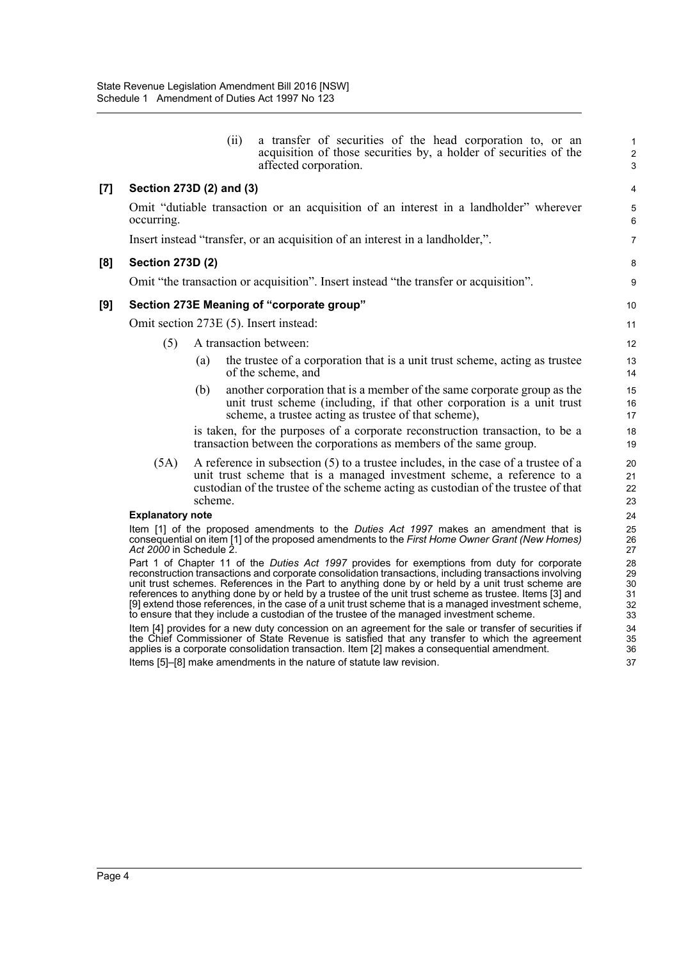**[7] Section 273D (2) and (3)**

**[8] Section 273D (2)**

|                     |                                                                                                                                                                                                                    | (ii)   | a transfer of securities of the head corporation to, or an<br>acquisition of those securities by, a holder of securities of the<br>affected corporation.                                                                                                                                                                                                                                                                                                                                                                                                                                                                 | $\mathbf{1}$<br>$\overline{\mathbf{c}}$<br>3 |
|---------------------|--------------------------------------------------------------------------------------------------------------------------------------------------------------------------------------------------------------------|--------|--------------------------------------------------------------------------------------------------------------------------------------------------------------------------------------------------------------------------------------------------------------------------------------------------------------------------------------------------------------------------------------------------------------------------------------------------------------------------------------------------------------------------------------------------------------------------------------------------------------------------|----------------------------------------------|
| $\lbrack 7 \rbrack$ | Section 273D (2) and (3)                                                                                                                                                                                           |        |                                                                                                                                                                                                                                                                                                                                                                                                                                                                                                                                                                                                                          | 4                                            |
|                     | occurring.                                                                                                                                                                                                         |        | Omit "dutiable transaction or an acquisition of an interest in a landholder" wherever                                                                                                                                                                                                                                                                                                                                                                                                                                                                                                                                    | 5<br>6                                       |
|                     |                                                                                                                                                                                                                    |        | Insert instead "transfer, or an acquisition of an interest in a landholder,".                                                                                                                                                                                                                                                                                                                                                                                                                                                                                                                                            | $\overline{7}$                               |
| [8]                 | <b>Section 273D (2)</b>                                                                                                                                                                                            |        |                                                                                                                                                                                                                                                                                                                                                                                                                                                                                                                                                                                                                          | 8                                            |
|                     |                                                                                                                                                                                                                    |        | Omit "the transaction or acquisition". Insert instead "the transfer or acquisition".                                                                                                                                                                                                                                                                                                                                                                                                                                                                                                                                     | 9                                            |
| [9]                 |                                                                                                                                                                                                                    |        | Section 273E Meaning of "corporate group"                                                                                                                                                                                                                                                                                                                                                                                                                                                                                                                                                                                | 10                                           |
|                     | Omit section 273E (5). Insert instead:                                                                                                                                                                             |        |                                                                                                                                                                                                                                                                                                                                                                                                                                                                                                                                                                                                                          | 11                                           |
|                     | (5)                                                                                                                                                                                                                |        | A transaction between:                                                                                                                                                                                                                                                                                                                                                                                                                                                                                                                                                                                                   | 12                                           |
|                     |                                                                                                                                                                                                                    | (a)    | the trustee of a corporation that is a unit trust scheme, acting as trustee<br>of the scheme, and                                                                                                                                                                                                                                                                                                                                                                                                                                                                                                                        | 13<br>14                                     |
|                     |                                                                                                                                                                                                                    | (b)    | another corporation that is a member of the same corporate group as the<br>unit trust scheme (including, if that other corporation is a unit trust<br>scheme, a trustee acting as trustee of that scheme),                                                                                                                                                                                                                                                                                                                                                                                                               | 15<br>16<br>17                               |
|                     |                                                                                                                                                                                                                    |        | is taken, for the purposes of a corporate reconstruction transaction, to be a<br>transaction between the corporations as members of the same group.                                                                                                                                                                                                                                                                                                                                                                                                                                                                      | 18<br>19                                     |
|                     | (5A)                                                                                                                                                                                                               | scheme | A reference in subsection (5) to a trustee includes, in the case of a trustee of a<br>unit trust scheme that is a managed investment scheme, a reference to a<br>custodian of the trustee of the scheme acting as custodian of the trustee of that                                                                                                                                                                                                                                                                                                                                                                       | 20<br>21<br>22<br>23                         |
|                     | <b>Explanatory note</b>                                                                                                                                                                                            |        |                                                                                                                                                                                                                                                                                                                                                                                                                                                                                                                                                                                                                          | 24<br>25                                     |
|                     | Item [1] of the proposed amendments to the Duties Act 1997 makes an amendment that is<br>consequential on item [1] of the proposed amendments to the First Home Owner Grant (New Homes)<br>Act 2000 in Schedule 2. |        |                                                                                                                                                                                                                                                                                                                                                                                                                                                                                                                                                                                                                          |                                              |
|                     |                                                                                                                                                                                                                    |        | Part 1 of Chapter 11 of the Duties Act 1997 provides for exemptions from duty for corporate<br>reconstruction transactions and corporate consolidation transactions, including transactions involving<br>unit trust schemes. References in the Part to anything done by or held by a unit trust scheme are<br>references to anything done by or held by a trustee of the unit trust scheme as trustee. Items [3] and<br>[9] extend those references, in the case of a unit trust scheme that is a managed investment scheme,<br>to ensure that they include a custodian of the trustee of the managed investment scheme. | 28<br>29<br>30<br>31<br>32<br>33             |
|                     |                                                                                                                                                                                                                    |        | Item [4] provides for a new duty concession on an agreement for the sale or transfer of securities if<br>the Chief Commissioner of State Revenue is satisfied that any transfer to which the agreement<br>applies is a corporate consolidation transaction. Item [2] makes a consequential amendment.                                                                                                                                                                                                                                                                                                                    | 34<br>35<br>36                               |
|                     |                                                                                                                                                                                                                    |        | Items [5]-[8] make amendments in the nature of statute law revision.                                                                                                                                                                                                                                                                                                                                                                                                                                                                                                                                                     | 37                                           |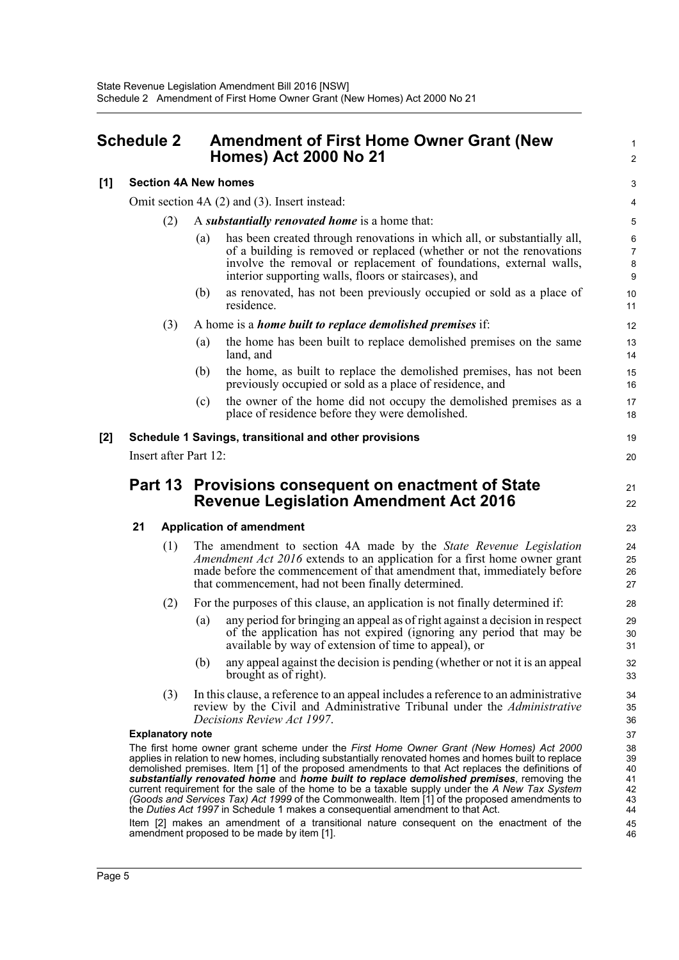### <span id="page-7-0"></span>**Schedule 2 Amendment of First Home Owner Grant (New Homes) Act 2000 No 21**

#### **[1] Section 4A New homes**

Omit section 4A (2) and (3). Insert instead:

- (2) A *substantially renovated home* is a home that:
	- (a) has been created through renovations in which all, or substantially all, of a building is removed or replaced (whether or not the renovations involve the removal or replacement of foundations, external walls, interior supporting walls, floors or staircases), and

1  $\mathcal{L}$ 

21 22

(b) as renovated, has not been previously occupied or sold as a place of residence.

#### (3) A home is a *home built to replace demolished premises* if:

- (a) the home has been built to replace demolished premises on the same land, and
- (b) the home, as built to replace the demolished premises, has not been previously occupied or sold as a place of residence, and
- (c) the owner of the home did not occupy the demolished premises as a place of residence before they were demolished.

#### **[2] Schedule 1 Savings, transitional and other provisions**

Insert after Part 12:

### **Part 13 Provisions consequent on enactment of State Revenue Legislation Amendment Act 2016**

#### **21 Application of amendment**

- (1) The amendment to section 4A made by the *State Revenue Legislation Amendment Act 2016* extends to an application for a first home owner grant made before the commencement of that amendment that, immediately before that commencement, had not been finally determined.
- (2) For the purposes of this clause, an application is not finally determined if:
	- (a) any period for bringing an appeal as of right against a decision in respect of the application has not expired (ignoring any period that may be available by way of extension of time to appeal), or
	- (b) any appeal against the decision is pending (whether or not it is an appeal brought as of right).
- (3) In this clause, a reference to an appeal includes a reference to an administrative review by the Civil and Administrative Tribunal under the *Administrative Decisions Review Act 1997*.

#### **Explanatory note**

The first home owner grant scheme under the *First Home Owner Grant (New Homes) Act 2000* applies in relation to new homes, including substantially renovated homes and homes built to replace demolished premises. Item [1] of the proposed amendments to that Act replaces the definitions of *substantially renovated home* and *home built to replace demolished premises*, removing the current requirement for the sale of the home to be a taxable supply under the *A New Tax System (Goods and Services Tax) Act 1999* of the Commonwealth. Item [1] of the proposed amendments to the *Duties Act 1997* in Schedule 1 makes a consequential amendment to that Act.

Item [2] makes an amendment of a transitional nature consequent on the enactment of the amendment proposed to be made by item [1].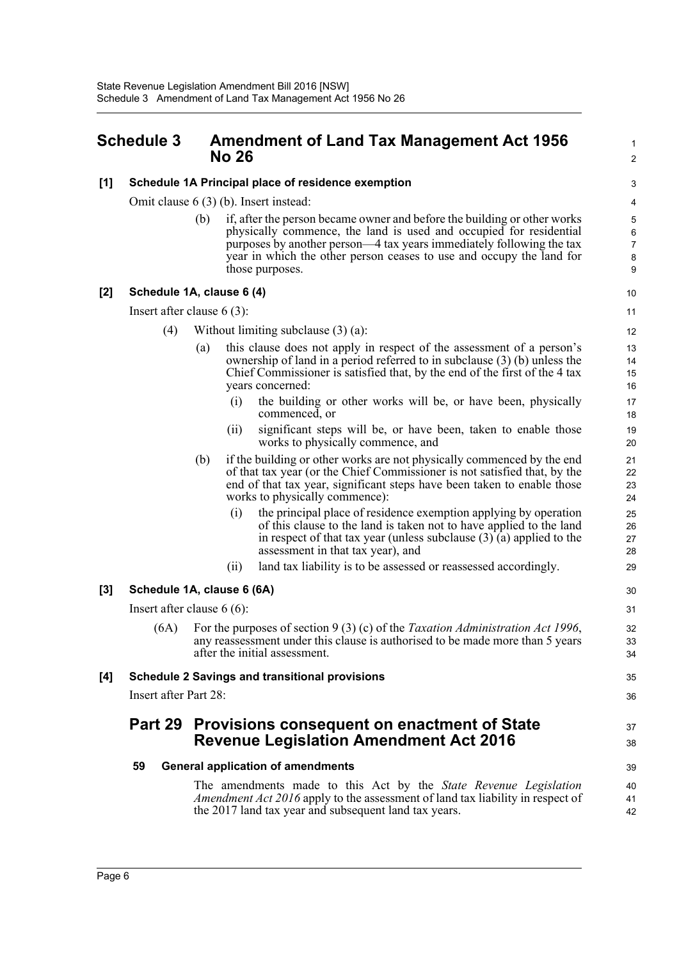## <span id="page-8-0"></span>**Schedule 3 Amendment of Land Tax Management Act 1956 No 26**

#### **[1] Schedule 1A Principal place of residence exemption**

Omit clause 6 (3) (b). Insert instead:

(b) if, after the person became owner and before the building or other works physically commence, the land is used and occupied for residential purposes by another person—4 tax years immediately following the tax year in which the other person ceases to use and occupy the land for those purposes.

1  $\overline{2}$ 

35 36

37 38

#### **[2] Schedule 1A, clause 6 (4)**

Insert after clause 6 (3):

- (4) Without limiting subclause (3) (a):
	- this clause does not apply in respect of the assessment of a person's ownership of land in a period referred to in subclause (3) (b) unless the Chief Commissioner is satisfied that, by the end of the first of the 4 tax years concerned:
		- (i) the building or other works will be, or have been, physically commenced, or
		- (ii) significant steps will be, or have been, taken to enable those works to physically commence, and
	- (b) if the building or other works are not physically commenced by the end of that tax year (or the Chief Commissioner is not satisfied that, by the end of that tax year, significant steps have been taken to enable those works to physically commence):
		- (i) the principal place of residence exemption applying by operation of this clause to the land is taken not to have applied to the land in respect of that tax year (unless subclause  $(3)$  (a) applied to the assessment in that tax year), and
		- (ii) land tax liability is to be assessed or reassessed accordingly.

#### **[3] Schedule 1A, clause 6 (6A)**

Insert after clause 6 (6):

(6A) For the purposes of section 9 (3) (c) of the *Taxation Administration Act 1996*, any reassessment under this clause is authorised to be made more than 5 years after the initial assessment.

#### **[4] Schedule 2 Savings and transitional provisions**

Insert after Part 28:

## **Part 29 Provisions consequent on enactment of State Revenue Legislation Amendment Act 2016**

#### **59 General application of amendments**

The amendments made to this Act by the *State Revenue Legislation Amendment Act 2016* apply to the assessment of land tax liability in respect of the 2017 land tax year and subsequent land tax years.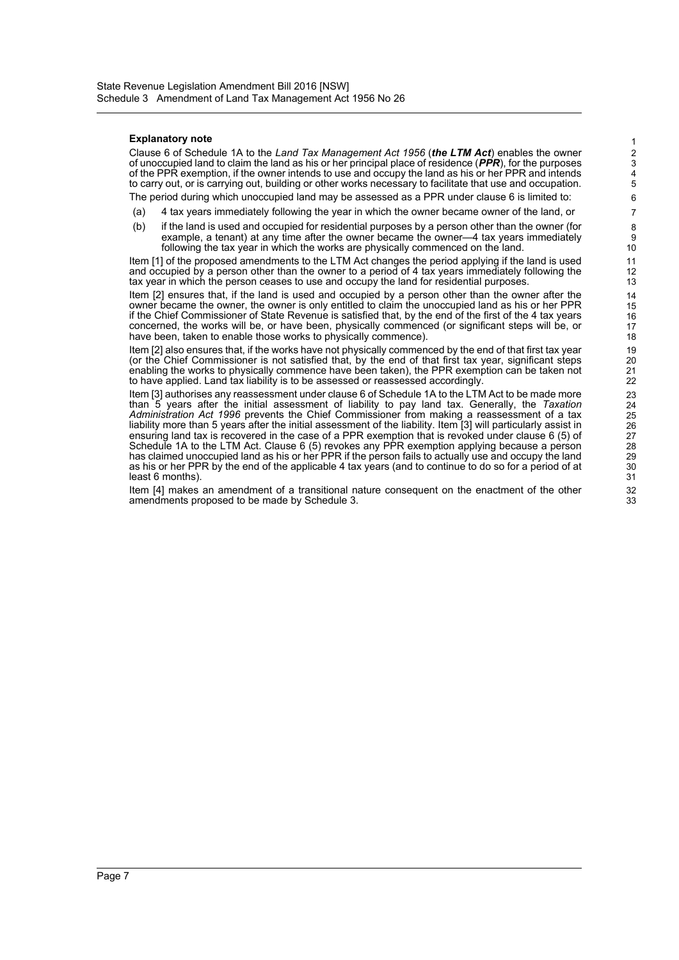#### **Explanatory note**

Clause 6 of Schedule 1A to the *Land Tax Management Act 1956* (*the LTM Act*) enables the owner of unoccupied land to claim the land as his or her principal place of residence (*PPR*), for the purposes of the PPR exemption, if the owner intends to use and occupy the land as his or her PPR and intends to carry out, or is carrying out, building or other works necessary to facilitate that use and occupation. The period during which unoccupied land may be assessed as a PPR under clause 6 is limited to:

- (a) 4 tax years immediately following the year in which the owner became owner of the land, or
- (b) if the land is used and occupied for residential purposes by a person other than the owner (for example, a tenant) at any time after the owner became the owner—4 tax years immediately following the tax year in which the works are physically commenced on the land.

Item [1] of the proposed amendments to the LTM Act changes the period applying if the land is used and occupied by a person other than the owner to a period of 4 tax years immediately following the tax year in which the person ceases to use and occupy the land for residential purposes.

Item [2] ensures that, if the land is used and occupied by a person other than the owner after the owner became the owner, the owner is only entitled to claim the unoccupied land as his or her PPR if the Chief Commissioner of State Revenue is satisfied that, by the end of the first of the 4 tax years concerned, the works will be, or have been, physically commenced (or significant steps will be, or have been, taken to enable those works to physically commence).

Item [2] also ensures that, if the works have not physically commenced by the end of that first tax year (or the Chief Commissioner is not satisfied that, by the end of that first tax year, significant steps enabling the works to physically commence have been taken), the PPR exemption can be taken not to have applied. Land tax liability is to be assessed or reassessed accordingly.

Item [3] authorises any reassessment under clause 6 of Schedule 1A to the LTM Act to be made more than 5 years after the initial assessment of liability to pay land tax. Generally, the *Taxation Administration Act 1996* prevents the Chief Commissioner from making a reassessment of a tax liability more than 5 years after the initial assessment of the liability. Item [3] will particularly assist in ensuring land tax is recovered in the case of a PPR exemption that is revoked under clause 6 (5) of Schedule 1A to the LTM Act. Clause 6 (5) revokes any PPR exemption applying because a person has claimed unoccupied land as his or her PPR if the person fails to actually use and occupy the land as his or her PPR by the end of the applicable 4 tax years (and to continue to do so for a period of at least 6 months).

Item [4] makes an amendment of a transitional nature consequent on the enactment of the other amendments proposed to be made by Schedule 3.

1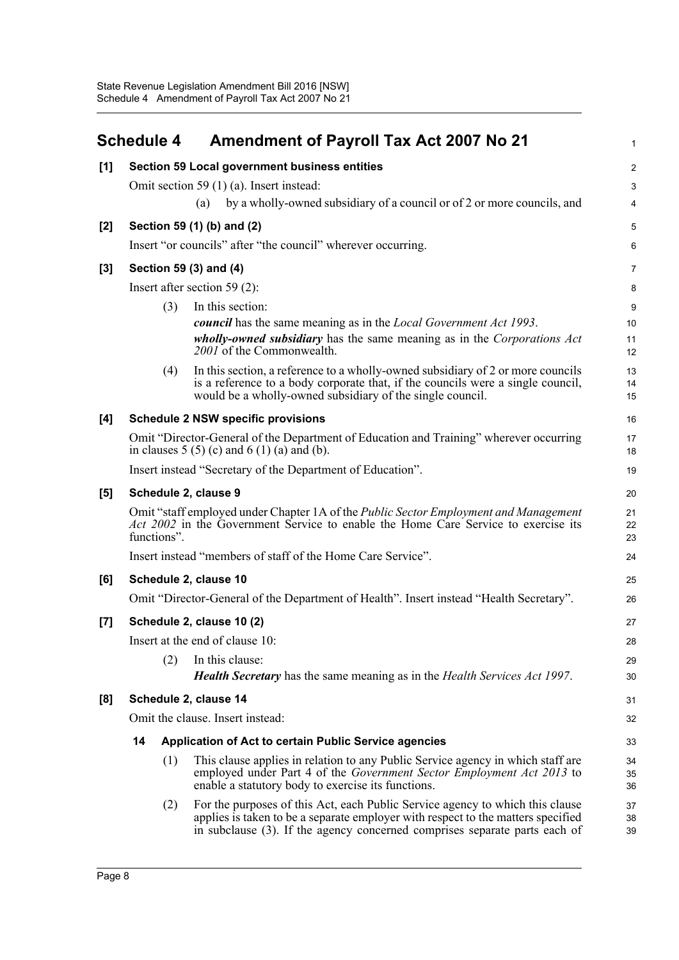<span id="page-10-0"></span>

|       | <b>Schedule 4</b>     |             | <b>Amendment of Payroll Tax Act 2007 No 21</b>                                                                                                                                                                                                  | $\mathbf{1}$   |
|-------|-----------------------|-------------|-------------------------------------------------------------------------------------------------------------------------------------------------------------------------------------------------------------------------------------------------|----------------|
| [1]   |                       |             | Section 59 Local government business entities                                                                                                                                                                                                   | $\overline{2}$ |
|       |                       |             | Omit section 59 $(1)$ $(a)$ . Insert instead:                                                                                                                                                                                                   | 3              |
|       |                       |             | by a wholly-owned subsidiary of a council or of 2 or more councils, and<br>(a)                                                                                                                                                                  | 4              |
| [2]   |                       |             | Section 59 (1) (b) and (2)                                                                                                                                                                                                                      | 5              |
|       |                       |             | Insert "or councils" after "the council" wherever occurring.                                                                                                                                                                                    | 6              |
| $[3]$ |                       |             | Section 59 (3) and (4)                                                                                                                                                                                                                          | 7              |
|       |                       |             | Insert after section 59 $(2)$ :                                                                                                                                                                                                                 | 8              |
|       |                       | (3)         | In this section:                                                                                                                                                                                                                                | 9              |
|       |                       |             | <b><i>council</i></b> has the same meaning as in the <i>Local Government Act 1993</i> .                                                                                                                                                         | 10             |
|       |                       |             | <i>wholly-owned subsidiary</i> has the same meaning as in the <i>Corporations Act</i><br>2001 of the Commonwealth.                                                                                                                              | 11<br>12       |
|       |                       | (4)         | In this section, a reference to a wholly-owned subsidiary of 2 or more councils                                                                                                                                                                 | 13             |
|       |                       |             | is a reference to a body corporate that, if the councils were a single council,<br>would be a wholly-owned subsidiary of the single council.                                                                                                    | 14<br>15       |
| [4]   |                       |             | <b>Schedule 2 NSW specific provisions</b>                                                                                                                                                                                                       | 16             |
|       |                       |             | Omit "Director-General of the Department of Education and Training" wherever occurring<br>in clauses $5(5)(c)$ and $6(1)(a)$ and $(b)$ .                                                                                                        | 17<br>18       |
|       |                       |             | Insert instead "Secretary of the Department of Education".                                                                                                                                                                                      | 19             |
| [5]   |                       |             | Schedule 2, clause 9                                                                                                                                                                                                                            | 20             |
|       |                       | functions". | Omit "staff employed under Chapter 1A of the Public Sector Employment and Management<br>Act 2002 in the Government Service to enable the Home Care Service to exercise its                                                                      | 21<br>22<br>23 |
|       |                       |             | Insert instead "members of staff of the Home Care Service".                                                                                                                                                                                     | 24             |
| [6]   | Schedule 2, clause 10 |             |                                                                                                                                                                                                                                                 | 25             |
|       |                       |             | Omit "Director-General of the Department of Health". Insert instead "Health Secretary".                                                                                                                                                         | 26             |
| $[7]$ |                       |             | Schedule 2, clause 10 (2)                                                                                                                                                                                                                       | 27             |
|       |                       |             | Insert at the end of clause 10:                                                                                                                                                                                                                 | 28             |
|       |                       | (2)         | In this clause:                                                                                                                                                                                                                                 | 29             |
|       |                       |             | <b>Health Secretary</b> has the same meaning as in the Health Services Act 1997.                                                                                                                                                                | 30             |
| [8]   |                       |             | Schedule 2, clause 14                                                                                                                                                                                                                           | 31             |
|       |                       |             | Omit the clause. Insert instead:                                                                                                                                                                                                                | 32             |
|       | 14                    |             | Application of Act to certain Public Service agencies                                                                                                                                                                                           | 33             |
|       |                       | (1)         | This clause applies in relation to any Public Service agency in which staff are<br>employed under Part 4 of the Government Sector Employment Act 2013 to<br>enable a statutory body to exercise its functions.                                  | 34<br>35<br>36 |
|       |                       | (2)         | For the purposes of this Act, each Public Service agency to which this clause<br>applies is taken to be a separate employer with respect to the matters specified<br>in subclause (3). If the agency concerned comprises separate parts each of | 37<br>38<br>39 |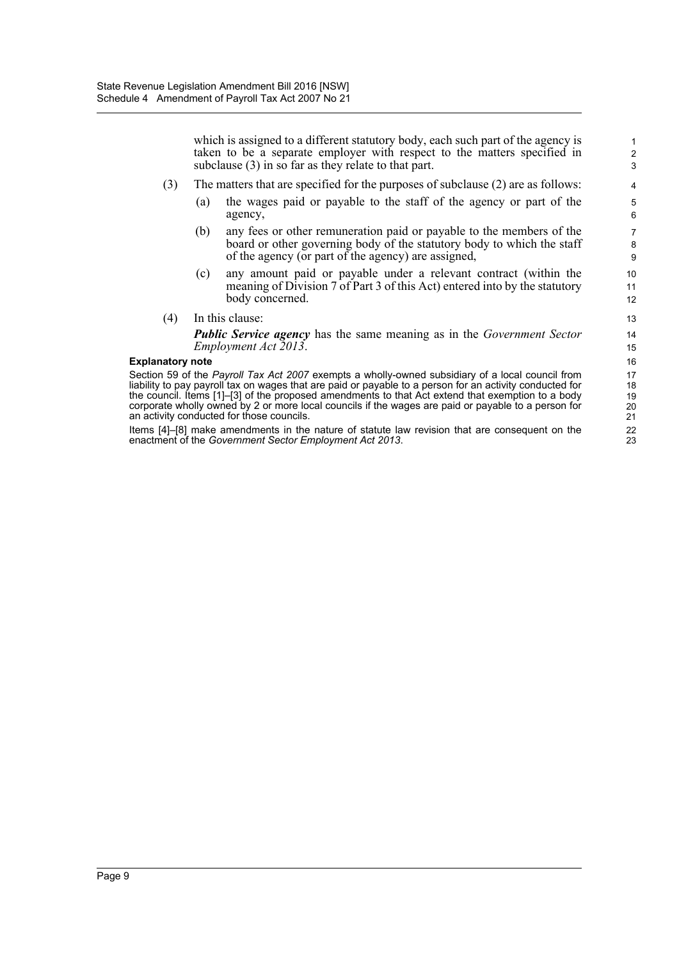which is assigned to a different statutory body, each such part of the agency is taken to be a separate employer with respect to the matters specified in subclause (3) in so far as they relate to that part.

- (3) The matters that are specified for the purposes of subclause (2) are as follows:
	- (a) the wages paid or payable to the staff of the agency or part of the agency,
	- (b) any fees or other remuneration paid or payable to the members of the board or other governing body of the statutory body to which the staff of the agency (or part of the agency) are assigned,
	- (c) any amount paid or payable under a relevant contract (within the meaning of Division 7 of Part 3 of this Act) entered into by the statutory body concerned.
- (4) In this clause:

*Public Service agency* has the same meaning as in the *Government Sector Employment Act 2013*.

#### **Explanatory note**

Section 59 of the *Payroll Tax Act 2007* exempts a wholly-owned subsidiary of a local council from liability to pay payroll tax on wages that are paid or payable to a person for an activity conducted for the council. Items [1]–[3] of the proposed amendments to that Act extend that exemption to a body corporate wholly owned by 2 or more local councils if the wages are paid or payable to a person for an activity conducted for those councils.

Items [4]–[8] make amendments in the nature of statute law revision that are consequent on the enactment of the *Government Sector Employment Act 2013*.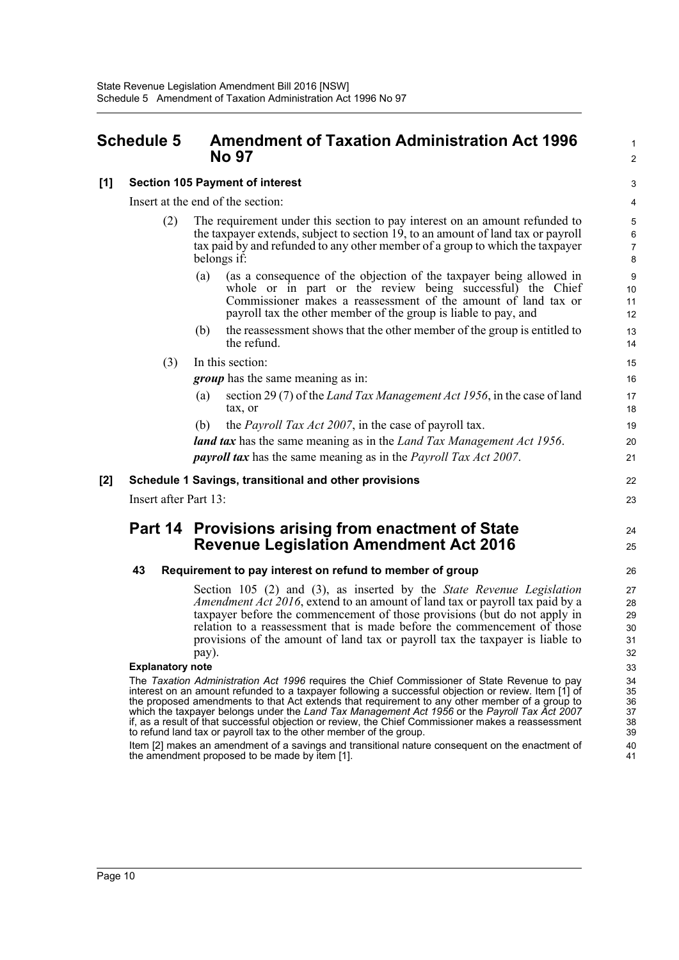### <span id="page-12-0"></span>**Schedule 5 Amendment of Taxation Administration Act 1996 No 97**

### $\mathfrak{p}$ 3 4 5 6 7 8

22 23

24 25

1

#### **[1] Section 105 Payment of interest**

Insert at the end of the section:

- (2) The requirement under this section to pay interest on an amount refunded to the taxpayer extends, subject to section 19, to an amount of land tax or payroll tax paid by and refunded to any other member of a group to which the taxpayer belongs if:
	- (a) (as a consequence of the objection of the taxpayer being allowed in whole or in part or the review being successful) the Chief Commissioner makes a reassessment of the amount of land tax or payroll tax the other member of the group is liable to pay, and
	- (b) the reassessment shows that the other member of the group is entitled to the refund.
- (3) In this section:
	- *group* has the same meaning as in:
	- (a) section 29 (7) of the *Land Tax Management Act 1956*, in the case of land tax, or
	- (b) the *Payroll Tax Act 2007*, in the case of payroll tax.

*land tax* has the same meaning as in the *Land Tax Management Act 1956*. *payroll tax* has the same meaning as in the *Payroll Tax Act 2007*.

#### **[2] Schedule 1 Savings, transitional and other provisions**

Insert after Part 13:

## **Part 14 Provisions arising from enactment of State Revenue Legislation Amendment Act 2016**

#### **43 Requirement to pay interest on refund to member of group**

Section 105 (2) and (3), as inserted by the *State Revenue Legislation Amendment Act 2016*, extend to an amount of land tax or payroll tax paid by a taxpayer before the commencement of those provisions (but do not apply in relation to a reassessment that is made before the commencement of those provisions of the amount of land tax or payroll tax the taxpayer is liable to pay).

#### **Explanatory note**

The *Taxation Administration Act 1996* requires the Chief Commissioner of State Revenue to pay interest on an amount refunded to a taxpayer following a successful objection or review. Item [1] of the proposed amendments to that Act extends that requirement to any other member of a group to which the taxpayer belongs under the *Land Tax Management Act 1956* or the *Payroll Tax Act 2007* if, as a result of that successful objection or review, the Chief Commissioner makes a reassessment to refund land tax or payroll tax to the other member of the group.

Item [2] makes an amendment of a savings and transitional nature consequent on the enactment of the amendment proposed to be made by item [1].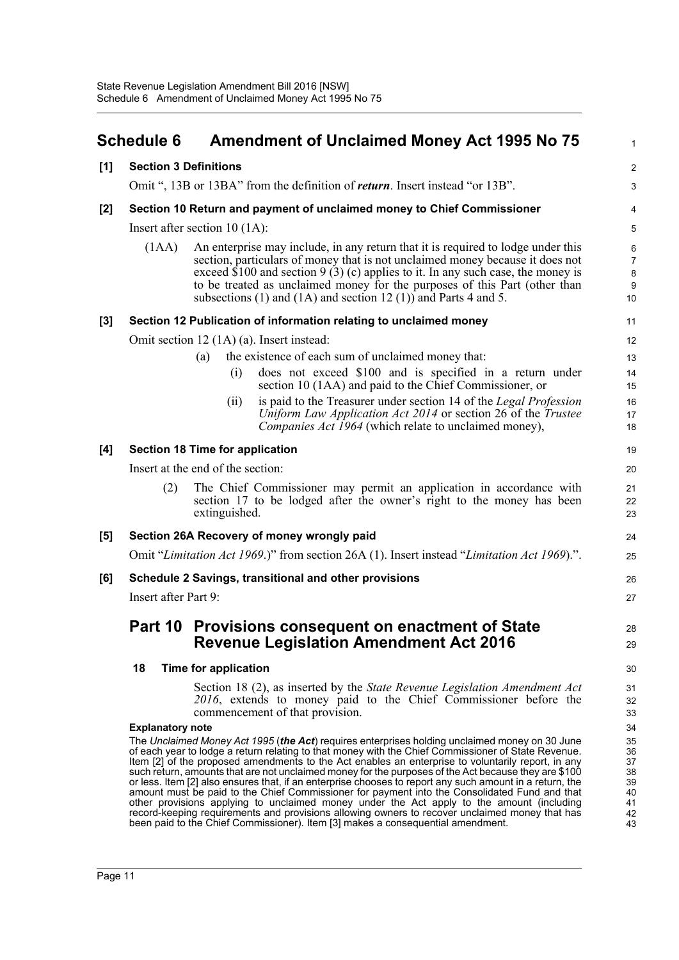<span id="page-13-0"></span>

|     | <b>Schedule 6</b>                                                      | <b>Amendment of Unclaimed Money Act 1995 No 75</b>                                                                                                                                                                                                                                                                                                                                                                                                                                                                                                                                                                                                                                                                                                                                                                                                                                                                 | $\mathbf{1}$                                             |
|-----|------------------------------------------------------------------------|--------------------------------------------------------------------------------------------------------------------------------------------------------------------------------------------------------------------------------------------------------------------------------------------------------------------------------------------------------------------------------------------------------------------------------------------------------------------------------------------------------------------------------------------------------------------------------------------------------------------------------------------------------------------------------------------------------------------------------------------------------------------------------------------------------------------------------------------------------------------------------------------------------------------|----------------------------------------------------------|
| [1] | <b>Section 3 Definitions</b>                                           |                                                                                                                                                                                                                                                                                                                                                                                                                                                                                                                                                                                                                                                                                                                                                                                                                                                                                                                    | $\overline{2}$                                           |
|     |                                                                        | Omit ", 13B or 13BA" from the definition of <i>return</i> . Insert instead "or 13B".                                                                                                                                                                                                                                                                                                                                                                                                                                                                                                                                                                                                                                                                                                                                                                                                                               | 3                                                        |
| [2] | Section 10 Return and payment of unclaimed money to Chief Commissioner |                                                                                                                                                                                                                                                                                                                                                                                                                                                                                                                                                                                                                                                                                                                                                                                                                                                                                                                    |                                                          |
|     |                                                                        | Insert after section $10(1A)$ :                                                                                                                                                                                                                                                                                                                                                                                                                                                                                                                                                                                                                                                                                                                                                                                                                                                                                    | $\overline{5}$                                           |
|     | (IAA)                                                                  | An enterprise may include, in any return that it is required to lodge under this<br>section, particulars of money that is not unclaimed money because it does not<br>exceed \$100 and section $9(3)(c)$ applies to it. In any such case, the money is<br>to be treated as unclaimed money for the purposes of this Part (other than<br>subsections (1) and (1A) and section 12 (1)) and Parts 4 and 5.                                                                                                                                                                                                                                                                                                                                                                                                                                                                                                             | 6<br>7<br>$\bf 8$<br>$9\,$<br>10                         |
| [3] |                                                                        | Section 12 Publication of information relating to unclaimed money                                                                                                                                                                                                                                                                                                                                                                                                                                                                                                                                                                                                                                                                                                                                                                                                                                                  | 11                                                       |
|     |                                                                        | Omit section 12 (1A) (a). Insert instead:                                                                                                                                                                                                                                                                                                                                                                                                                                                                                                                                                                                                                                                                                                                                                                                                                                                                          | 12                                                       |
|     |                                                                        | the existence of each sum of unclaimed money that:<br>(a)                                                                                                                                                                                                                                                                                                                                                                                                                                                                                                                                                                                                                                                                                                                                                                                                                                                          | 13                                                       |
|     |                                                                        | does not exceed \$100 and is specified in a return under<br>(i)                                                                                                                                                                                                                                                                                                                                                                                                                                                                                                                                                                                                                                                                                                                                                                                                                                                    | 14                                                       |
|     |                                                                        | section 10 (1AA) and paid to the Chief Commissioner, or<br>is paid to the Treasurer under section 14 of the Legal Profession<br>(i)                                                                                                                                                                                                                                                                                                                                                                                                                                                                                                                                                                                                                                                                                                                                                                                | 15<br>16                                                 |
|     |                                                                        | Uniform Law Application Act 2014 or section 26 of the Trustee<br><i>Companies Act 1964</i> (which relate to unclaimed money),                                                                                                                                                                                                                                                                                                                                                                                                                                                                                                                                                                                                                                                                                                                                                                                      | 17<br>18                                                 |
| [4] |                                                                        | <b>Section 18 Time for application</b>                                                                                                                                                                                                                                                                                                                                                                                                                                                                                                                                                                                                                                                                                                                                                                                                                                                                             | 19                                                       |
|     |                                                                        | Insert at the end of the section:                                                                                                                                                                                                                                                                                                                                                                                                                                                                                                                                                                                                                                                                                                                                                                                                                                                                                  | 20                                                       |
|     | (2)                                                                    | The Chief Commissioner may permit an application in accordance with<br>section 17 to be lodged after the owner's right to the money has been<br>extinguished.                                                                                                                                                                                                                                                                                                                                                                                                                                                                                                                                                                                                                                                                                                                                                      | 21<br>22<br>23                                           |
| [5] |                                                                        | Section 26A Recovery of money wrongly paid                                                                                                                                                                                                                                                                                                                                                                                                                                                                                                                                                                                                                                                                                                                                                                                                                                                                         | 24                                                       |
|     |                                                                        | Omit "Limitation Act 1969.)" from section 26A (1). Insert instead "Limitation Act 1969).".                                                                                                                                                                                                                                                                                                                                                                                                                                                                                                                                                                                                                                                                                                                                                                                                                         | 25                                                       |
| [6] |                                                                        | Schedule 2 Savings, transitional and other provisions                                                                                                                                                                                                                                                                                                                                                                                                                                                                                                                                                                                                                                                                                                                                                                                                                                                              | 26                                                       |
|     | Insert after Part 9:                                                   |                                                                                                                                                                                                                                                                                                                                                                                                                                                                                                                                                                                                                                                                                                                                                                                                                                                                                                                    | 27                                                       |
|     |                                                                        | Part 10 Provisions consequent on enactment of State                                                                                                                                                                                                                                                                                                                                                                                                                                                                                                                                                                                                                                                                                                                                                                                                                                                                | 28                                                       |
|     |                                                                        | <b>Revenue Legislation Amendment Act 2016</b>                                                                                                                                                                                                                                                                                                                                                                                                                                                                                                                                                                                                                                                                                                                                                                                                                                                                      | 29                                                       |
|     | 18                                                                     | Time for application                                                                                                                                                                                                                                                                                                                                                                                                                                                                                                                                                                                                                                                                                                                                                                                                                                                                                               | 30                                                       |
|     |                                                                        | Section 18 (2), as inserted by the State Revenue Legislation Amendment Act<br>2016, extends to money paid to the Chief Commissioner before the<br>commencement of that provision.                                                                                                                                                                                                                                                                                                                                                                                                                                                                                                                                                                                                                                                                                                                                  | 31<br>32<br>33                                           |
|     | <b>Explanatory note</b>                                                | The Unclaimed Money Act 1995 (the Act) requires enterprises holding unclaimed money on 30 June<br>of each year to lodge a return relating to that money with the Chief Commissioner of State Revenue.<br>Item [2] of the proposed amendments to the Act enables an enterprise to voluntarily report, in any<br>such return, amounts that are not unclaimed money for the purposes of the Act because they are \$100<br>or less. Item [2] also ensures that, if an enterprise chooses to report any such amount in a return, the<br>amount must be paid to the Chief Commissioner for payment into the Consolidated Fund and that<br>other provisions applying to unclaimed money under the Act apply to the amount (including<br>record-keeping requirements and provisions allowing owners to recover unclaimed money that has<br>been paid to the Chief Commissioner). Item [3] makes a consequential amendment. | 34<br>35<br>36<br>37<br>38<br>39<br>40<br>41<br>42<br>43 |